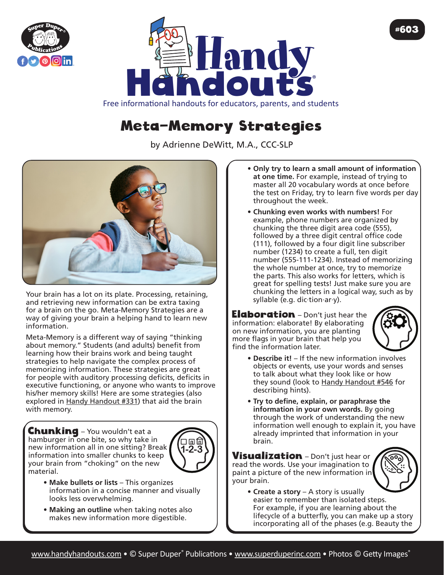



## Meta-Memory Strategies

by Adrienne DeWitt, M.A., CCC-SLP



Your brain has a lot on its plate. Processing, retaining, and retrieving new information can be extra taxing for a brain on the go. Meta-Memory Strategies are a way of giving your brain a helping hand to learn new information.

Meta-Memory is a different way of saying "thinking about memory." Students (and adults) benefit from learning how their brains work and being taught strategies to help navigate the complex process of memorizing information. These strategies are great for people with auditory processing deficits, deficits in executive functioning, or anyone who wants to improve his/her memory skills! Here are some strategies (also explored in Handy Handout #331) that aid the brain with memory.

**Chunking** - You wouldn't eat a hamburger in one bite, so why take in new information all in one sitting? Break information into smaller chunks to keep your brain from "choking" on the new material.



- **• Make bullets or lists** This organizes information in a concise manner and visually looks less overwhelming.
- **Making an outline** when taking notes also makes new information more digestible.
- **• Only try to learn a small amount of information at one time.** For example, instead of trying to master all 20 vocabulary words at once before the test on Friday, try to learn five words per day throughout the week.
- **• Chunking even works with numbers!** For example, phone numbers are organized by chunking the three digit area code (555), followed by a three digit central office code (111), followed by a four digit line subscriber number (1234) to create a full, ten digit number (555-111-1234). Instead of memorizing the whole number at once, try to memorize the parts. This also works for letters, which is great for spelling tests! Just make sure you are chunking the letters in a logical way, such as by syllable (e.g. dic·tion·ar·y).

**Elaboration** - Don't just hear the information: elaborate! By elaborating on new information, you are planting more flags in your brain that help you find the information later.



#603

- **• Describe it!**  If the new information involves objects or events, use your words and senses to talk about what they look like or how they sound (look to Handy Handout #546 for describing hints).
- **• Try to define, explain, or paraphrase the information in your own words.** By going through the work of understanding the new information well enough to explain it, you have already imprinted that information in your brain.

**Visualization** – Don't just hear or read the words. Use your imagination to paint a picture of the new information in your brain.



**• Create a story** – A story is usually easier to remember than isolated steps. For example, if you are learning about the lifecycle of a butterfly, you can make up a story incorporating all of the phases (e.g. Beauty the